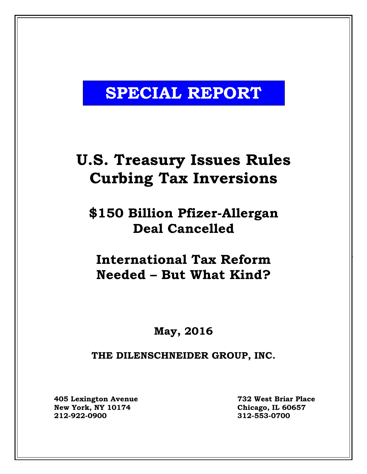# **SPECIAL REPORT**

# **U.S. Treasury Issues Rules Curbing Tax Inversions**

## **\$150 Billion Pfizer-Allergan Deal Cancelled**

## **International Tax Reform Needed – But What Kind?**

### **May, 2016**

### **THE DILENSCHNEIDER GROUP, INC.**

**405 Lexington Avenue 732 West Briar Place New York, NY 10174 Chicago, IL 60657 212-922-0900 312-553-0700**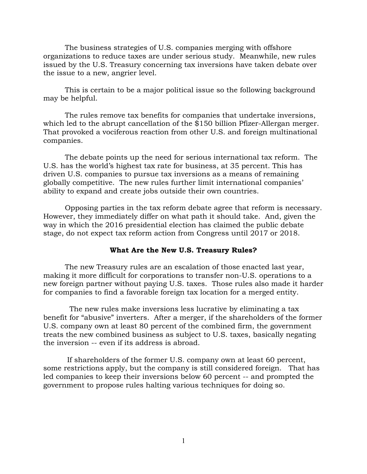The business strategies of U.S. companies merging with offshore organizations to reduce taxes are under serious study. Meanwhile, new rules issued by the U.S. Treasury concerning tax inversions have taken debate over the issue to a new, angrier level.

This is certain to be a major political issue so the following background may be helpful.

The rules remove tax benefits for companies that undertake inversions, which led to the abrupt cancellation of the \$150 billion Pfizer-Allergan merger. That provoked a vociferous reaction from other U.S. and foreign multinational companies.

The debate points up the need for serious international tax reform. The U.S. has the world's highest tax rate for business, at 35 percent. This has driven U.S. companies to pursue tax inversions as a means of remaining globally competitive. The new rules further limit international companies' ability to expand and create jobs outside their own countries.

Opposing parties in the tax reform debate agree that reform is necessary. However, they immediately differ on what path it should take. And, given the way in which the 2016 presidential election has claimed the public debate stage, do not expect tax reform action from Congress until 2017 or 2018.

#### **What Are the New U.S. Treasury Rules?**

The new Treasury rules are an escalation of those enacted last year, making it more difficult for corporations to transfer non-U.S. operations to a new foreign partner without paying U.S. taxes. Those rules also made it harder for companies to find a favorable foreign tax location for a merged entity.

The new rules make inversions less lucrative by eliminating a tax benefit for "abusive" inverters. After a merger, if the shareholders of the former U.S. company own at least 80 percent of the combined firm, the government treats the new combined business as subject to U.S. taxes, basically negating the inversion -- even if its address is abroad.

If shareholders of the former U.S. company own at least 60 percent, some restrictions apply, but the company is still considered foreign. That has led companies to keep their inversions below 60 percent -- and prompted the government to propose rules halting various techniques for doing so.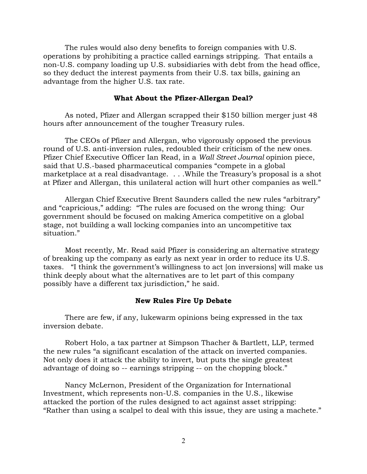The rules would also deny benefits to foreign companies with U.S. operations by prohibiting a practice called earnings stripping. That entails a non-U.S. company loading up U.S. subsidiaries with debt from the head office, so they deduct the interest payments from their U.S. tax bills, gaining an advantage from the higher U.S. tax rate.

#### **What About the Pfizer-Allergan Deal?**

As noted, Pfizer and Allergan scrapped their \$150 billion merger just 48 hours after announcement of the tougher Treasury rules.

The CEOs of Pfizer and Allergan, who vigorously opposed the previous round of U.S. anti-inversion rules, redoubled their criticism of the new ones. Pfizer Chief Executive Officer Ian Read, in a *Wall Street Journal* opinion piece, said that U.S.-based pharmaceutical companies "compete in a global marketplace at a real disadvantage. . . . While the Treasury's proposal is a shot at Pfizer and Allergan, this unilateral action will hurt other companies as well."

Allergan Chief Executive Brent Saunders called the new rules "arbitrary" and "capricious," adding: "The rules are focused on the wrong thing: Our government should be focused on making America competitive on a global stage, not building a wall locking companies into an uncompetitive tax situation."

Most recently, Mr. Read said Pfizer is considering an alternative strategy of breaking up the company as early as next year in order to reduce its U.S. taxes. "I think the government's willingness to act [on inversions] will make us think deeply about what the alternatives are to let part of this company possibly have a different tax jurisdiction," he said.

#### **New Rules Fire Up Debate**

There are few, if any, lukewarm opinions being expressed in the tax inversion debate.

Robert Holo, a tax partner at Simpson Thacher & Bartlett, LLP, termed the new rules "a significant escalation of the attack on inverted companies. Not only does it attack the ability to invert, but puts the single greatest advantage of doing so -- earnings stripping -- on the chopping block."

Nancy McLernon, President of the Organization for International Investment, which represents non-U.S. companies in the U.S., likewise attacked the portion of the rules designed to act against asset stripping: "Rather than using a scalpel to deal with this issue, they are using a machete."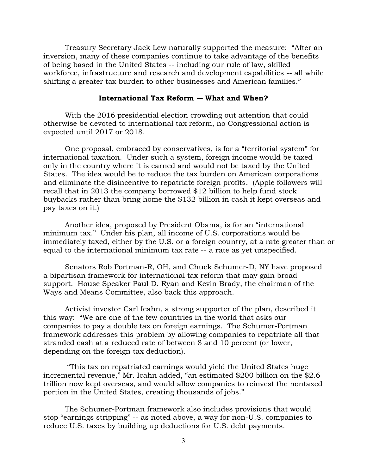Treasury Secretary Jack Lew naturally supported the measure: "After an inversion, many of these companies continue to take advantage of the benefits of being based in the United States -- including our rule of law, skilled workforce, infrastructure and research and development capabilities -- all while shifting a greater tax burden to other businesses and American families."

#### **International Tax Reform -– What and When?**

With the 2016 presidential election crowding out attention that could otherwise be devoted to international tax reform, no Congressional action is expected until 2017 or 2018.

One proposal, embraced by conservatives, is for a "territorial system" for international taxation. Under such a system, foreign income would be taxed only in the country where it is earned and would not be taxed by the United States. The idea would be to reduce the tax burden on American corporations and eliminate the disincentive to repatriate foreign profits. (Apple followers will recall that in 2013 the company borrowed \$12 billion to help fund stock buybacks rather than bring home the \$132 billion in cash it kept overseas and pay taxes on it.)

Another idea, proposed by President Obama, is for an "international minimum tax." Under his plan, all income of U.S. corporations would be immediately taxed, either by the U.S. or a foreign country, at a rate greater than or equal to the international minimum tax rate -- a rate as yet unspecified.

Senators Rob Portman-R, OH, and Chuck Schumer-D, NY have proposed a bipartisan framework for international tax reform that may gain broad support. House Speaker Paul D. Ryan and Kevin Brady, the chairman of the Ways and Means Committee, also back this approach.

Activist investor Carl Icahn, a strong supporter of the plan, described it this way: "We are one of the few countries in the world that asks our companies to pay a double tax on foreign earnings. The Schumer-Portman framework addresses this problem by allowing companies to repatriate all that stranded cash at a reduced rate of between 8 and 10 percent (or lower, depending on the foreign tax deduction).

"This tax on repatriated earnings would yield the United States huge incremental revenue," Mr. Icahn added, "an estimated \$200 billion on the \$2.6 trillion now kept overseas, and would allow companies to reinvest the nontaxed portion in the United States, creating thousands of jobs."

The Schumer-Portman framework also includes provisions that would stop "earnings stripping" -- as noted above, a way for non-U.S. companies to reduce U.S. taxes by building up deductions for U.S. debt payments.